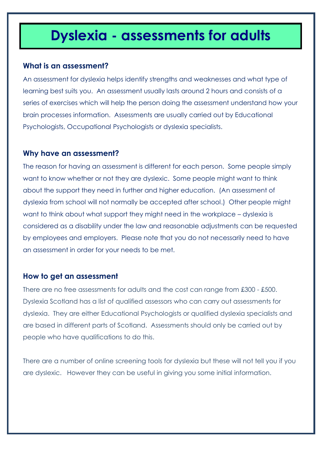# **Information that can be used to be used to be used to be used to be used to be used to be used to be used to be u**

### **What is an assessment?**

An assessment for dyslexia helps identify strengths and weaknesses and what type of learning best suits you. An assessment usually lasts around 2 hours and consists of a series of exercises which will help the person doing the assessment understand how your brain processes information. Assessments are usually carried out by Educational Psychologists, Occupational Psychologists or dyslexia specialists.

## **Why have an assessment?**

The reason for having an assessment is different for each person. Some people simply want to know whether or not they are dyslexic. Some people might want to think about the support they need in further and higher education. (An assessment of dyslexia from school will not normally be accepted after school.) Other people might want to think about what support they might need in the workplace – dyslexia is considered as a disability under the law and reasonable adjustments can be requested by employees and employers. Please note that you do not necessarily need to have an assessment in order for your needs to be met.

## **How to get an assessment**

There are no free assessments for adults and the cost can range from £300 - £500. Dyslexia Scotland has a list of qualified assessors who can carry out assessments for dyslexia. They are either Educational Psychologists or qualified dyslexia specialists and are based in different parts of Scotland. Assessments should only be carried out by people who have qualifications to do this.

There are a number of online screening tools for dyslexia but these will not tell you if you are dyslexic. However they can be useful in giving you some initial information.